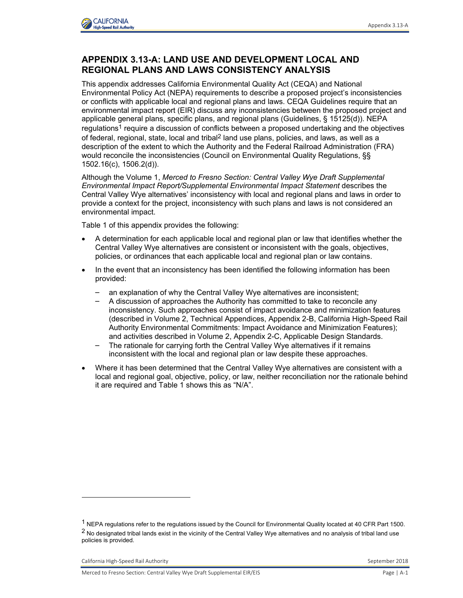

## **APPENDIX 3.13-A: LAND USE AND DEVELOPMENT LOCAL AND REGIONAL PLANS AND LAWS CONSISTENCY ANALYSIS**

This appendix addresses California Environmental Quality Act (CEQA) and National Environmental Policy Act (NEPA) requirements to describe a proposed project's inconsistencies or conflicts with applicable local and regional plans and laws. CEQA Guidelines require that an environmental impact report (EIR) discuss any inconsistencies between the proposed project and applicable general plans, specific plans, and regional plans (Guidelines, § 15125(d)). NEPA regulations<sup>1</sup> require a discussion of conflicts between a proposed undertaking and the objectives of federal, regional, state, local and tribal<sup>2</sup> land use plans, policies, and laws, as well as a description of the extent to which the Authority and the Federal Railroad Administration (FRA) would reconcile the inconsistencies (Council on Environmental Quality Regulations, §§ 1502.16(c), 1506.2(d)).

Although the Volume 1, *Merced to Fresno Section: Central Valley Wye Draft Supplemental Environmental Impact Report/Supplemental Environmental Impact Statement* describes the Central Valley Wye alternatives' inconsistency with local and regional plans and laws in order to provide a context for the project, inconsistency with such plans and laws is not considered an environmental impact.

Table 1 of this appendix provides the following:

- A determination for each applicable local and regional plan or law that identifies whether the Central Valley Wye alternatives are consistent or inconsistent with the goals, objectives, policies, or ordinances that each applicable local and regional plan or law contains.
- In the event that an inconsistency has been identified the following information has been provided:
	- an explanation of why the Central Valley Wye alternatives are inconsistent;
	- A discussion of approaches the Authority has committed to take to reconcile any inconsistency. Such approaches consist of impact avoidance and minimization features (described in Volume 2, Technical Appendices, Appendix 2-B, California High-Speed Rail Authority Environmental Commitments: Impact Avoidance and Minimization Features); and activities described in Volume 2, Appendix 2-C, Applicable Design Standards.
	- The rationale for carrying forth the Central Valley Wye alternatives if it remains inconsistent with the local and regional plan or law despite these approaches.
- Where it has been determined that the Central Valley Wye alternatives are consistent with a local and regional goal, objective, policy, or law, neither reconciliation nor the rationale behind it are required and Table 1 shows this as "N/A".

j

<sup>1</sup> NEPA regulations refer to the regulations issued by the Council for Environmental Quality located at 40 CFR Part 1500. <sup>2</sup> No designated tribal lands exist in the vicinity of the Central Valley Wye alternatives and no analysis of tribal land use policies is provided.

California High-Speed Rail Authority **September 2018** September 2018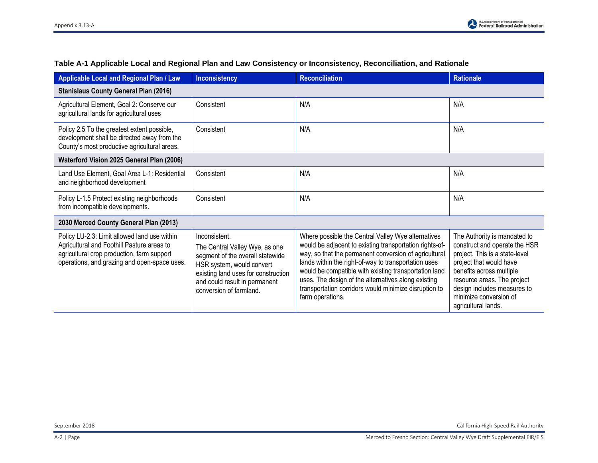| Applicable Local and Regional Plan / Law                                                                                                                                                 | <b>Inconsistency</b>                                                                                                                                                                                                | <b>Reconciliation</b>                                                                                                                                                                                                                                                                                                                                                                                                       | <b>Rationale</b>                                                                                                                                                                                                                                                      |
|------------------------------------------------------------------------------------------------------------------------------------------------------------------------------------------|---------------------------------------------------------------------------------------------------------------------------------------------------------------------------------------------------------------------|-----------------------------------------------------------------------------------------------------------------------------------------------------------------------------------------------------------------------------------------------------------------------------------------------------------------------------------------------------------------------------------------------------------------------------|-----------------------------------------------------------------------------------------------------------------------------------------------------------------------------------------------------------------------------------------------------------------------|
| <b>Stanislaus County General Plan (2016)</b>                                                                                                                                             |                                                                                                                                                                                                                     |                                                                                                                                                                                                                                                                                                                                                                                                                             |                                                                                                                                                                                                                                                                       |
| Agricultural Element, Goal 2: Conserve our<br>agricultural lands for agricultural uses                                                                                                   | Consistent                                                                                                                                                                                                          | N/A                                                                                                                                                                                                                                                                                                                                                                                                                         | N/A                                                                                                                                                                                                                                                                   |
| Policy 2.5 To the greatest extent possible,<br>development shall be directed away from the<br>County's most productive agricultural areas.                                               | Consistent                                                                                                                                                                                                          | N/A                                                                                                                                                                                                                                                                                                                                                                                                                         | N/A                                                                                                                                                                                                                                                                   |
| Waterford Vision 2025 General Plan (2006)                                                                                                                                                |                                                                                                                                                                                                                     |                                                                                                                                                                                                                                                                                                                                                                                                                             |                                                                                                                                                                                                                                                                       |
| Land Use Element, Goal Area L-1: Residential<br>and neighborhood development                                                                                                             | Consistent                                                                                                                                                                                                          | N/A                                                                                                                                                                                                                                                                                                                                                                                                                         | N/A                                                                                                                                                                                                                                                                   |
| Policy L-1.5 Protect existing neighborhoods<br>from incompatible developments.                                                                                                           | Consistent                                                                                                                                                                                                          | N/A                                                                                                                                                                                                                                                                                                                                                                                                                         | N/A                                                                                                                                                                                                                                                                   |
| 2030 Merced County General Plan (2013)                                                                                                                                                   |                                                                                                                                                                                                                     |                                                                                                                                                                                                                                                                                                                                                                                                                             |                                                                                                                                                                                                                                                                       |
| Policy LU-2.3: Limit allowed land use within<br>Agricultural and Foothill Pasture areas to<br>agricultural crop production, farm support<br>operations, and grazing and open-space uses. | Inconsistent.<br>The Central Valley Wye, as one<br>segment of the overall statewide<br>HSR system, would convert<br>existing land uses for construction<br>and could result in permanent<br>conversion of farmland. | Where possible the Central Valley Wye alternatives<br>would be adjacent to existing transportation rights-of-<br>way, so that the permanent conversion of agricultural<br>lands within the right-of-way to transportation uses<br>would be compatible with existing transportation land<br>uses. The design of the alternatives along existing<br>transportation corridors would minimize disruption to<br>farm operations. | The Authority is mandated to<br>construct and operate the HSR<br>project. This is a state-level<br>project that would have<br>benefits across multiple<br>resource areas. The project<br>design includes measures to<br>minimize conversion of<br>agricultural lands. |

## **Table A-1 Applicable Local and Regional Plan and Law Consistency or Inconsistency, Reconciliation, and Rationale**

September 2018 California High-Speed Rail Authority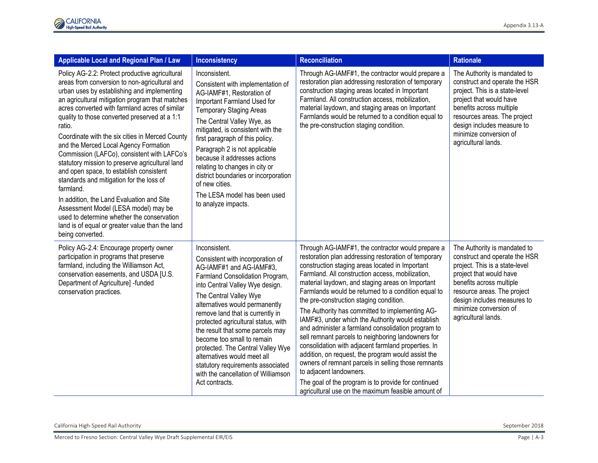| Applicable Local and Regional Plan / Law                                                                                                                                                                                                                                                                                                                                                                                                                                                                                                                                                                                                                                                                                                                                                                                   | <b>Inconsistency</b>                                                                                                                                                                                                                                                                                                                                                                                                                                                                                                           | <b>Reconciliation</b>                                                                                                                                                                                                                                                                                                                                                                                                                                                                                                                                                                                                                                                                                                                                                                                                                                                                                  | <b>Rationale</b>                                                                                                                                                                                                                                                      |
|----------------------------------------------------------------------------------------------------------------------------------------------------------------------------------------------------------------------------------------------------------------------------------------------------------------------------------------------------------------------------------------------------------------------------------------------------------------------------------------------------------------------------------------------------------------------------------------------------------------------------------------------------------------------------------------------------------------------------------------------------------------------------------------------------------------------------|--------------------------------------------------------------------------------------------------------------------------------------------------------------------------------------------------------------------------------------------------------------------------------------------------------------------------------------------------------------------------------------------------------------------------------------------------------------------------------------------------------------------------------|--------------------------------------------------------------------------------------------------------------------------------------------------------------------------------------------------------------------------------------------------------------------------------------------------------------------------------------------------------------------------------------------------------------------------------------------------------------------------------------------------------------------------------------------------------------------------------------------------------------------------------------------------------------------------------------------------------------------------------------------------------------------------------------------------------------------------------------------------------------------------------------------------------|-----------------------------------------------------------------------------------------------------------------------------------------------------------------------------------------------------------------------------------------------------------------------|
| Policy AG-2.2: Protect productive agricultural<br>areas from conversion to non-agricultural and<br>urban uses by establishing and implementing<br>an agricultural mitigation program that matches<br>acres converted with farmland acres of similar<br>quality to those converted preserved at a 1:1<br>ratio.<br>Coordinate with the six cities in Merced County<br>and the Merced Local Agency Formation<br>Commission (LAFCo), consistent with LAFCo's<br>statutory mission to preserve agricultural land<br>and open space, to establish consistent<br>standards and mitigation for the loss of<br>farmland.<br>In addition, the Land Evaluation and Site<br>Assessment Model (LESA model) may be<br>used to determine whether the conservation<br>land is of equal or greater value than the land<br>being converted. | Inconsistent.<br>Consistent with implementation of<br>AG-IAMF#1, Restoration of<br>Important Farmland Used for<br><b>Temporary Staging Areas</b><br>The Central Valley Wye, as<br>mitigated, is consistent with the<br>first paragraph of this policy.<br>Paragraph 2 is not applicable<br>because it addresses actions<br>relating to changes in city or<br>district boundaries or incorporation<br>of new cities.<br>The LESA model has been used<br>to analyze impacts.                                                     | Through AG-IAMF#1, the contractor would prepare a<br>restoration plan addressing restoration of temporary<br>construction staging areas located in Important<br>Farmland. All construction access, mobilization,<br>material laydown, and staging areas on Important<br>Farmlands would be returned to a condition equal to<br>the pre-construction staging condition.                                                                                                                                                                                                                                                                                                                                                                                                                                                                                                                                 | The Authority is mandated to<br>construct and operate the HSR<br>project. This is a state-level<br>project that would have<br>benefits across multiple<br>resources areas. The project<br>design includes measure to<br>minimize conversion of<br>agricultural lands. |
| Policy AG-2.4: Encourage property owner<br>participation in programs that preserve<br>farmland, including the Williamson Act,<br>conservation easements, and USDA [U.S.<br>Department of Agriculture] -funded<br>conservation practices.                                                                                                                                                                                                                                                                                                                                                                                                                                                                                                                                                                                   | Inconsistent.<br>Consistent with incorporation of<br>AG-IAMF#1 and AG-IAMF#3,<br>Farmland Consolidation Program,<br>into Central Valley Wye design.<br>The Central Valley Wye<br>alternatives would permanently<br>remove land that is currently in<br>protected agricultural status, with<br>the result that some parcels may<br>become too small to remain<br>protected. The Central Valley Wye<br>alternatives would meet all<br>statutory requirements associated<br>with the cancellation of Williamson<br>Act contracts. | Through AG-IAMF#1, the contractor would prepare a<br>restoration plan addressing restoration of temporary<br>construction staging areas located in Important<br>Farmland. All construction access, mobilization,<br>material laydown, and staging areas on Important<br>Farmlands would be returned to a condition equal to<br>the pre-construction staging condition.<br>The Authority has committed to implementing AG-<br>IAMF#3, under which the Authority would establish<br>and administer a farmland consolidation program to<br>sell remnant parcels to neighboring landowners for<br>consolidation with adjacent farmland properties. In<br>addition, on request, the program would assist the<br>owners of remnant parcels in selling those remnants<br>to adjacent landowners.<br>The goal of the program is to provide for continued<br>agricultural use on the maximum feasible amount of | The Authority is mandated to<br>construct and operate the HSR<br>project. This is a state-level<br>project that would have<br>benefits across multiple<br>resource areas. The project<br>design includes measures to<br>minimize conversion of<br>agricultural lands. |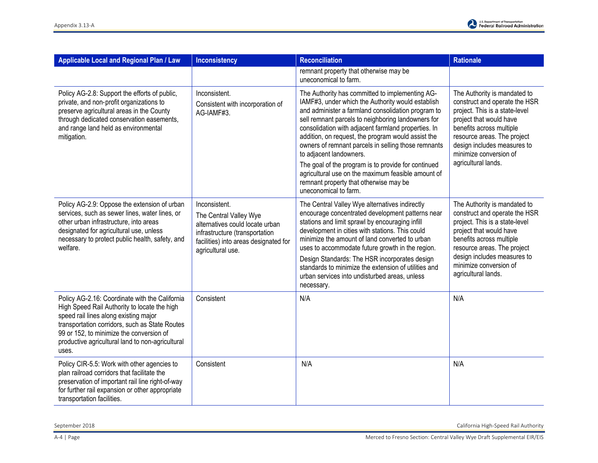

| <b>Applicable Local and Regional Plan / Law</b>                                                                                                                                                                                                                                                    | <b>Inconsistency</b>                                                                                                                                                       | <b>Reconciliation</b>                                                                                                                                                                                                                                                                                                                                                                                                                                                                                                                                                                           | <b>Rationale</b>                                                                                                                                                                                                                                                      |
|----------------------------------------------------------------------------------------------------------------------------------------------------------------------------------------------------------------------------------------------------------------------------------------------------|----------------------------------------------------------------------------------------------------------------------------------------------------------------------------|-------------------------------------------------------------------------------------------------------------------------------------------------------------------------------------------------------------------------------------------------------------------------------------------------------------------------------------------------------------------------------------------------------------------------------------------------------------------------------------------------------------------------------------------------------------------------------------------------|-----------------------------------------------------------------------------------------------------------------------------------------------------------------------------------------------------------------------------------------------------------------------|
|                                                                                                                                                                                                                                                                                                    |                                                                                                                                                                            | remnant property that otherwise may be<br>uneconomical to farm.                                                                                                                                                                                                                                                                                                                                                                                                                                                                                                                                 |                                                                                                                                                                                                                                                                       |
| Policy AG-2.8: Support the efforts of public,<br>private, and non-profit organizations to<br>preserve agricultural areas in the County<br>through dedicated conservation easements,<br>and range land held as environmental<br>mitigation.                                                         | Inconsistent.<br>Consistent with incorporation of<br>AG-IAMF#3.                                                                                                            | The Authority has committed to implementing AG-<br>IAMF#3, under which the Authority would establish<br>and administer a farmland consolidation program to<br>sell remnant parcels to neighboring landowners for<br>consolidation with adjacent farmland properties. In<br>addition, on request, the program would assist the<br>owners of remnant parcels in selling those remnants<br>to adjacent landowners.<br>The goal of the program is to provide for continued<br>agricultural use on the maximum feasible amount of<br>remnant property that otherwise may be<br>uneconomical to farm. | The Authority is mandated to<br>construct and operate the HSR<br>project. This is a state-level<br>project that would have<br>benefits across multiple<br>resource areas. The project<br>design includes measures to<br>minimize conversion of<br>agricultural lands. |
| Policy AG-2.9: Oppose the extension of urban<br>services, such as sewer lines, water lines, or<br>other urban infrastructure, into areas<br>designated for agricultural use, unless<br>necessary to protect public health, safety, and<br>welfare.                                                 | Inconsistent.<br>The Central Valley Wye<br>alternatives could locate urban<br>infrastructure (transportation<br>facilities) into areas designated for<br>agricultural use. | The Central Valley Wye alternatives indirectly<br>encourage concentrated development patterns near<br>stations and limit sprawl by encouraging infill<br>development in cities with stations. This could<br>minimize the amount of land converted to urban<br>uses to accommodate future growth in the region.<br>Design Standards: The HSR incorporates design<br>standards to minimize the extension of utilities and<br>urban services into undisturbed areas, unless<br>necessary.                                                                                                          | The Authority is mandated to<br>construct and operate the HSR<br>project. This is a state-level<br>project that would have<br>benefits across multiple<br>resource areas. The project<br>design includes measures to<br>minimize conversion of<br>agricultural lands. |
| Policy AG-2.16: Coordinate with the California<br>High Speed Rail Authority to locate the high<br>speed rail lines along existing major<br>transportation corridors, such as State Routes<br>99 or 152, to minimize the conversion of<br>productive agricultural land to non-agricultural<br>uses. | Consistent                                                                                                                                                                 | N/A                                                                                                                                                                                                                                                                                                                                                                                                                                                                                                                                                                                             | N/A                                                                                                                                                                                                                                                                   |
| Policy CIR-5.5: Work with other agencies to<br>plan railroad corridors that facilitate the<br>preservation of important rail line right-of-way<br>for further rail expansion or other appropriate<br>transportation facilities.                                                                    | Consistent                                                                                                                                                                 | N/A                                                                                                                                                                                                                                                                                                                                                                                                                                                                                                                                                                                             | N/A                                                                                                                                                                                                                                                                   |

September 2018 California High-Speed Rail Authority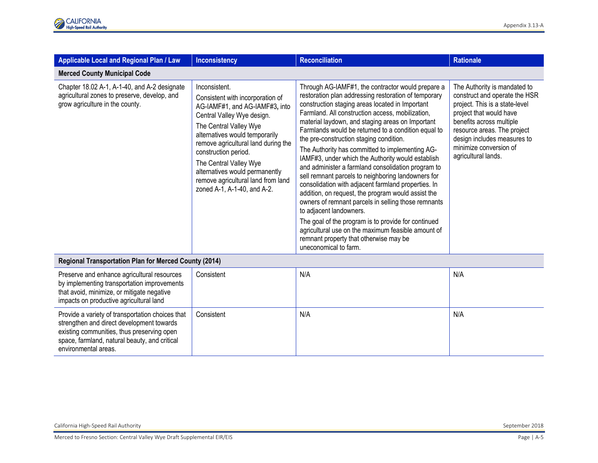| Applicable Local and Regional Plan / Law                                                                                                                                                                             | <b>Inconsistency</b>                                                                                                                                                                                                                                                                                                                                                          | <b>Reconciliation</b>                                                                                                                                                                                                                                                                                                                                                                                                                                                                                                                                                                                                                                                                                                                                                                                                                                                                                                                            | <b>Rationale</b>                                                                                                                                                                                                                                                      |
|----------------------------------------------------------------------------------------------------------------------------------------------------------------------------------------------------------------------|-------------------------------------------------------------------------------------------------------------------------------------------------------------------------------------------------------------------------------------------------------------------------------------------------------------------------------------------------------------------------------|--------------------------------------------------------------------------------------------------------------------------------------------------------------------------------------------------------------------------------------------------------------------------------------------------------------------------------------------------------------------------------------------------------------------------------------------------------------------------------------------------------------------------------------------------------------------------------------------------------------------------------------------------------------------------------------------------------------------------------------------------------------------------------------------------------------------------------------------------------------------------------------------------------------------------------------------------|-----------------------------------------------------------------------------------------------------------------------------------------------------------------------------------------------------------------------------------------------------------------------|
| <b>Merced County Municipal Code</b>                                                                                                                                                                                  |                                                                                                                                                                                                                                                                                                                                                                               |                                                                                                                                                                                                                                                                                                                                                                                                                                                                                                                                                                                                                                                                                                                                                                                                                                                                                                                                                  |                                                                                                                                                                                                                                                                       |
| Chapter 18.02 A-1, A-1-40, and A-2 designate<br>agricultural zones to preserve, develop, and<br>grow agriculture in the county.                                                                                      | Inconsistent.<br>Consistent with incorporation of<br>AG-IAMF#1, and AG-IAMF#3, into<br>Central Valley Wye design.<br>The Central Valley Wye<br>alternatives would temporarily<br>remove agricultural land during the<br>construction period.<br>The Central Valley Wye<br>alternatives would permanently<br>remove agricultural land from land<br>zoned A-1, A-1-40, and A-2. | Through AG-IAMF#1, the contractor would prepare a<br>restoration plan addressing restoration of temporary<br>construction staging areas located in Important<br>Farmland. All construction access, mobilization,<br>material laydown, and staging areas on Important<br>Farmlands would be returned to a condition equal to<br>the pre-construction staging condition.<br>The Authority has committed to implementing AG-<br>IAMF#3, under which the Authority would establish<br>and administer a farmland consolidation program to<br>sell remnant parcels to neighboring landowners for<br>consolidation with adjacent farmland properties. In<br>addition, on request, the program would assist the<br>owners of remnant parcels in selling those remnants<br>to adjacent landowners.<br>The goal of the program is to provide for continued<br>agricultural use on the maximum feasible amount of<br>remnant property that otherwise may be | The Authority is mandated to<br>construct and operate the HSR<br>project. This is a state-level<br>project that would have<br>benefits across multiple<br>resource areas. The project<br>design includes measures to<br>minimize conversion of<br>agricultural lands. |
|                                                                                                                                                                                                                      |                                                                                                                                                                                                                                                                                                                                                                               | uneconomical to farm.                                                                                                                                                                                                                                                                                                                                                                                                                                                                                                                                                                                                                                                                                                                                                                                                                                                                                                                            |                                                                                                                                                                                                                                                                       |
| Regional Transportation Plan for Merced County (2014)                                                                                                                                                                |                                                                                                                                                                                                                                                                                                                                                                               |                                                                                                                                                                                                                                                                                                                                                                                                                                                                                                                                                                                                                                                                                                                                                                                                                                                                                                                                                  |                                                                                                                                                                                                                                                                       |
| Preserve and enhance agricultural resources<br>by implementing transportation improvements<br>that avoid, minimize, or mitigate negative<br>impacts on productive agricultural land                                  | Consistent                                                                                                                                                                                                                                                                                                                                                                    | N/A                                                                                                                                                                                                                                                                                                                                                                                                                                                                                                                                                                                                                                                                                                                                                                                                                                                                                                                                              | N/A                                                                                                                                                                                                                                                                   |
| Provide a variety of transportation choices that<br>strengthen and direct development towards<br>existing communities, thus preserving open<br>space, farmland, natural beauty, and critical<br>environmental areas. | Consistent                                                                                                                                                                                                                                                                                                                                                                    | N/A                                                                                                                                                                                                                                                                                                                                                                                                                                                                                                                                                                                                                                                                                                                                                                                                                                                                                                                                              | N/A                                                                                                                                                                                                                                                                   |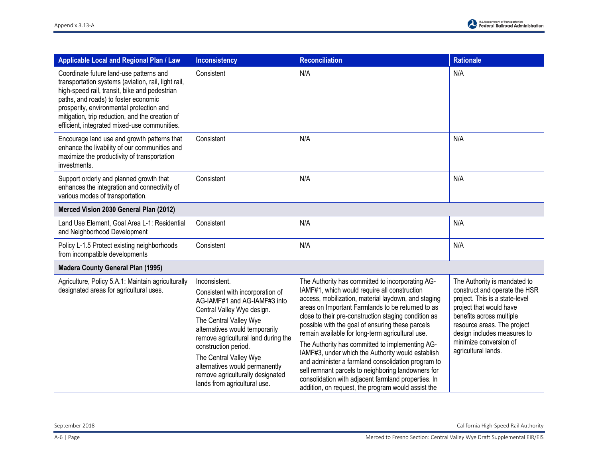| Applicable Local and Regional Plan / Law                                                                                                                                                                                                                                                                                               | <b>Inconsistency</b>                                                                                                                                                                                                                                                                                                                                                       | <b>Reconciliation</b>                                                                                                                                                                                                                                                                                                                                                                                                                                                                                                                                                                                                                                                                                         | <b>Rationale</b>                                                                                                                                                                                                                                                      |
|----------------------------------------------------------------------------------------------------------------------------------------------------------------------------------------------------------------------------------------------------------------------------------------------------------------------------------------|----------------------------------------------------------------------------------------------------------------------------------------------------------------------------------------------------------------------------------------------------------------------------------------------------------------------------------------------------------------------------|---------------------------------------------------------------------------------------------------------------------------------------------------------------------------------------------------------------------------------------------------------------------------------------------------------------------------------------------------------------------------------------------------------------------------------------------------------------------------------------------------------------------------------------------------------------------------------------------------------------------------------------------------------------------------------------------------------------|-----------------------------------------------------------------------------------------------------------------------------------------------------------------------------------------------------------------------------------------------------------------------|
| Coordinate future land-use patterns and<br>transportation systems (aviation, rail, light rail,<br>high-speed rail, transit, bike and pedestrian<br>paths, and roads) to foster economic<br>prosperity, environmental protection and<br>mitigation, trip reduction, and the creation of<br>efficient, integrated mixed-use communities. | Consistent                                                                                                                                                                                                                                                                                                                                                                 | N/A                                                                                                                                                                                                                                                                                                                                                                                                                                                                                                                                                                                                                                                                                                           | N/A                                                                                                                                                                                                                                                                   |
| Encourage land use and growth patterns that<br>enhance the livability of our communities and<br>maximize the productivity of transportation<br>investments.                                                                                                                                                                            | Consistent                                                                                                                                                                                                                                                                                                                                                                 | N/A                                                                                                                                                                                                                                                                                                                                                                                                                                                                                                                                                                                                                                                                                                           | N/A                                                                                                                                                                                                                                                                   |
| Support orderly and planned growth that<br>enhances the integration and connectivity of<br>various modes of transportation.                                                                                                                                                                                                            | Consistent                                                                                                                                                                                                                                                                                                                                                                 | N/A                                                                                                                                                                                                                                                                                                                                                                                                                                                                                                                                                                                                                                                                                                           | N/A                                                                                                                                                                                                                                                                   |
| Merced Vision 2030 General Plan (2012)                                                                                                                                                                                                                                                                                                 |                                                                                                                                                                                                                                                                                                                                                                            |                                                                                                                                                                                                                                                                                                                                                                                                                                                                                                                                                                                                                                                                                                               |                                                                                                                                                                                                                                                                       |
| Land Use Element, Goal Area L-1: Residential<br>and Neighborhood Development                                                                                                                                                                                                                                                           | Consistent                                                                                                                                                                                                                                                                                                                                                                 | N/A                                                                                                                                                                                                                                                                                                                                                                                                                                                                                                                                                                                                                                                                                                           | N/A                                                                                                                                                                                                                                                                   |
| Policy L-1.5 Protect existing neighborhoods<br>from incompatible developments                                                                                                                                                                                                                                                          | Consistent                                                                                                                                                                                                                                                                                                                                                                 | N/A                                                                                                                                                                                                                                                                                                                                                                                                                                                                                                                                                                                                                                                                                                           | N/A                                                                                                                                                                                                                                                                   |
| <b>Madera County General Plan (1995)</b>                                                                                                                                                                                                                                                                                               |                                                                                                                                                                                                                                                                                                                                                                            |                                                                                                                                                                                                                                                                                                                                                                                                                                                                                                                                                                                                                                                                                                               |                                                                                                                                                                                                                                                                       |
| Agriculture, Policy 5.A.1: Maintain agriculturally<br>designated areas for agricultural uses.                                                                                                                                                                                                                                          | Inconsistent.<br>Consistent with incorporation of<br>AG-IAMF#1 and AG-IAMF#3 into<br>Central Valley Wye design.<br>The Central Valley Wye<br>alternatives would temporarily<br>remove agricultural land during the<br>construction period.<br>The Central Valley Wye<br>alternatives would permanently<br>remove agriculturally designated<br>lands from agricultural use. | The Authority has committed to incorporating AG-<br>IAMF#1, which would require all construction<br>access, mobilization, material laydown, and staging<br>areas on Important Farmlands to be returned to as<br>close to their pre-construction staging condition as<br>possible with the goal of ensuring these parcels<br>remain available for long-term agricultural use.<br>The Authority has committed to implementing AG-<br>IAMF#3, under which the Authority would establish<br>and administer a farmland consolidation program to<br>sell remnant parcels to neighboring landowners for<br>consolidation with adjacent farmland properties. In<br>addition, on request, the program would assist the | The Authority is mandated to<br>construct and operate the HSR<br>project. This is a state-level<br>project that would have<br>benefits across multiple<br>resource areas. The project<br>design includes measures to<br>minimize conversion of<br>agricultural lands. |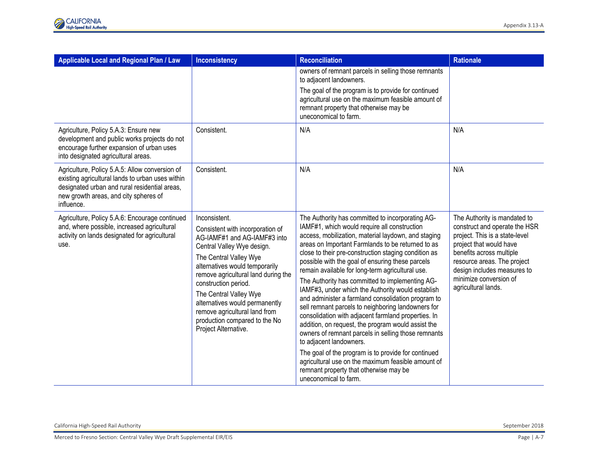| Applicable Local and Regional Plan / Law                                                                                                                                                                   | Inconsistency                                                                                                                                                                                                                                                                                                                                                                                    | Reconciliation                                                                                                                                                                                                                                                                                                                                                                                                                                                                                                                                                                                                                                                                                                                                                                                                                                                                                                                                                                  | <b>Rationale</b>                                                                                                                                                                                                                                                      |
|------------------------------------------------------------------------------------------------------------------------------------------------------------------------------------------------------------|--------------------------------------------------------------------------------------------------------------------------------------------------------------------------------------------------------------------------------------------------------------------------------------------------------------------------------------------------------------------------------------------------|---------------------------------------------------------------------------------------------------------------------------------------------------------------------------------------------------------------------------------------------------------------------------------------------------------------------------------------------------------------------------------------------------------------------------------------------------------------------------------------------------------------------------------------------------------------------------------------------------------------------------------------------------------------------------------------------------------------------------------------------------------------------------------------------------------------------------------------------------------------------------------------------------------------------------------------------------------------------------------|-----------------------------------------------------------------------------------------------------------------------------------------------------------------------------------------------------------------------------------------------------------------------|
|                                                                                                                                                                                                            |                                                                                                                                                                                                                                                                                                                                                                                                  | owners of remnant parcels in selling those remnants<br>to adjacent landowners.<br>The goal of the program is to provide for continued<br>agricultural use on the maximum feasible amount of<br>remnant property that otherwise may be<br>uneconomical to farm.                                                                                                                                                                                                                                                                                                                                                                                                                                                                                                                                                                                                                                                                                                                  |                                                                                                                                                                                                                                                                       |
| Agriculture, Policy 5.A.3: Ensure new<br>development and public works projects do not<br>encourage further expansion of urban uses<br>into designated agricultural areas.                                  | Consistent.                                                                                                                                                                                                                                                                                                                                                                                      | N/A                                                                                                                                                                                                                                                                                                                                                                                                                                                                                                                                                                                                                                                                                                                                                                                                                                                                                                                                                                             | N/A                                                                                                                                                                                                                                                                   |
| Agriculture, Policy 5.A.5: Allow conversion of<br>existing agricultural lands to urban uses within<br>designated urban and rural residential areas,<br>new growth areas, and city spheres of<br>influence. | Consistent.                                                                                                                                                                                                                                                                                                                                                                                      | N/A                                                                                                                                                                                                                                                                                                                                                                                                                                                                                                                                                                                                                                                                                                                                                                                                                                                                                                                                                                             | N/A                                                                                                                                                                                                                                                                   |
| Agriculture, Policy 5.A.6: Encourage continued<br>and, where possible, increased agricultural<br>activity on lands designated for agricultural<br>use.                                                     | Inconsistent.<br>Consistent with incorporation of<br>AG-IAMF#1 and AG-IAMF#3 into<br>Central Valley Wye design.<br>The Central Valley Wye<br>alternatives would temporarily<br>remove agricultural land during the<br>construction period.<br>The Central Valley Wye<br>alternatives would permanently<br>remove agricultural land from<br>production compared to the No<br>Project Alternative. | The Authority has committed to incorporating AG-<br>IAMF#1, which would require all construction<br>access, mobilization, material laydown, and staging<br>areas on Important Farmlands to be returned to as<br>close to their pre-construction staging condition as<br>possible with the goal of ensuring these parcels<br>remain available for long-term agricultural use.<br>The Authority has committed to implementing AG-<br>IAMF#3, under which the Authority would establish<br>and administer a farmland consolidation program to<br>sell remnant parcels to neighboring landowners for<br>consolidation with adjacent farmland properties. In<br>addition, on request, the program would assist the<br>owners of remnant parcels in selling those remnants<br>to adjacent landowners.<br>The goal of the program is to provide for continued<br>agricultural use on the maximum feasible amount of<br>remnant property that otherwise may be<br>uneconomical to farm. | The Authority is mandated to<br>construct and operate the HSR<br>project. This is a state-level<br>project that would have<br>benefits across multiple<br>resource areas. The project<br>design includes measures to<br>minimize conversion of<br>agricultural lands. |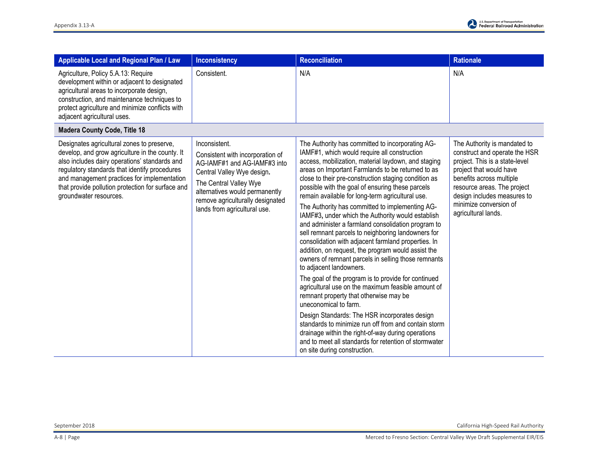| <b>Applicable Local and Regional Plan / Law</b>                                                                                                                                                                                                                                                                               | <b>Inconsistency</b>                                                                                                                                                                                                                            | <b>Reconciliation</b>                                                                                                                                                                                                                                                                                                                                                                                                                                                                                                                                                                                                                                                                                                                                                                                                                                                                                                                                                                                                                                                                                                                                                                                                                   | <b>Rationale</b>                                                                                                                                                                                                                                                      |
|-------------------------------------------------------------------------------------------------------------------------------------------------------------------------------------------------------------------------------------------------------------------------------------------------------------------------------|-------------------------------------------------------------------------------------------------------------------------------------------------------------------------------------------------------------------------------------------------|-----------------------------------------------------------------------------------------------------------------------------------------------------------------------------------------------------------------------------------------------------------------------------------------------------------------------------------------------------------------------------------------------------------------------------------------------------------------------------------------------------------------------------------------------------------------------------------------------------------------------------------------------------------------------------------------------------------------------------------------------------------------------------------------------------------------------------------------------------------------------------------------------------------------------------------------------------------------------------------------------------------------------------------------------------------------------------------------------------------------------------------------------------------------------------------------------------------------------------------------|-----------------------------------------------------------------------------------------------------------------------------------------------------------------------------------------------------------------------------------------------------------------------|
| Agriculture, Policy 5.A.13: Require<br>development within or adjacent to designated<br>agricultural areas to incorporate design,<br>construction, and maintenance techniques to<br>protect agriculture and minimize conflicts with<br>adjacent agricultural uses.                                                             | Consistent.                                                                                                                                                                                                                                     | N/A                                                                                                                                                                                                                                                                                                                                                                                                                                                                                                                                                                                                                                                                                                                                                                                                                                                                                                                                                                                                                                                                                                                                                                                                                                     | N/A                                                                                                                                                                                                                                                                   |
| <b>Madera County Code, Title 18</b>                                                                                                                                                                                                                                                                                           |                                                                                                                                                                                                                                                 |                                                                                                                                                                                                                                                                                                                                                                                                                                                                                                                                                                                                                                                                                                                                                                                                                                                                                                                                                                                                                                                                                                                                                                                                                                         |                                                                                                                                                                                                                                                                       |
| Designates agricultural zones to preserve,<br>develop, and grow agriculture in the county. It<br>also includes dairy operations' standards and<br>regulatory standards that identify procedures<br>and management practices for implementation<br>that provide pollution protection for surface and<br>groundwater resources. | Inconsistent.<br>Consistent with incorporation of<br>AG-IAMF#1 and AG-IAMF#3 into<br>Central Valley Wye design.<br>The Central Valley Wye<br>alternatives would permanently<br>remove agriculturally designated<br>lands from agricultural use. | The Authority has committed to incorporating AG-<br>IAMF#1, which would require all construction<br>access, mobilization, material laydown, and staging<br>areas on Important Farmlands to be returned to as<br>close to their pre-construction staging condition as<br>possible with the goal of ensuring these parcels<br>remain available for long-term agricultural use.<br>The Authority has committed to implementing AG-<br>IAMF#3, under which the Authority would establish<br>and administer a farmland consolidation program to<br>sell remnant parcels to neighboring landowners for<br>consolidation with adjacent farmland properties. In<br>addition, on request, the program would assist the<br>owners of remnant parcels in selling those remnants<br>to adjacent landowners.<br>The goal of the program is to provide for continued<br>agricultural use on the maximum feasible amount of<br>remnant property that otherwise may be<br>uneconomical to farm.<br>Design Standards: The HSR incorporates design<br>standards to minimize run off from and contain storm<br>drainage within the right-of-way during operations<br>and to meet all standards for retention of stormwater<br>on site during construction. | The Authority is mandated to<br>construct and operate the HSR<br>project. This is a state-level<br>project that would have<br>benefits across multiple<br>resource areas. The project<br>design includes measures to<br>minimize conversion of<br>agricultural lands. |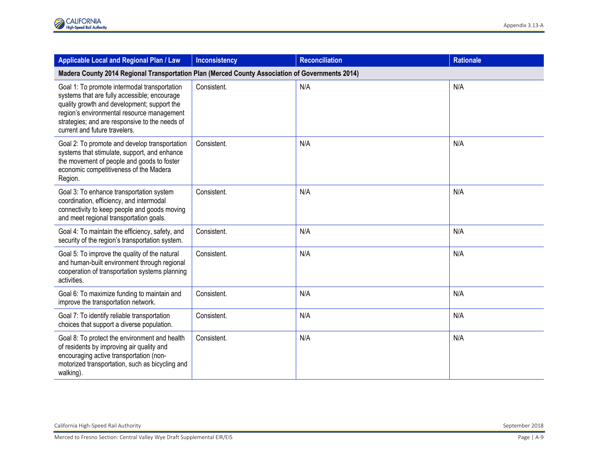| Applicable Local and Regional Plan / Law                                                                                                                                                                                                                                     | <b>Inconsistency</b> | <b>Reconciliation</b> | <b>Rationale</b> |
|------------------------------------------------------------------------------------------------------------------------------------------------------------------------------------------------------------------------------------------------------------------------------|----------------------|-----------------------|------------------|
| Madera County 2014 Regional Transportation Plan (Merced County Association of Governments 2014)                                                                                                                                                                              |                      |                       |                  |
| Goal 1: To promote intermodal transportation<br>systems that are fully accessible; encourage<br>quality growth and development; support the<br>region's environmental resource management<br>strategies; and are responsive to the needs of<br>current and future travelers. | Consistent.          | N/A                   | N/A              |
| Goal 2: To promote and develop transportation<br>systems that stimulate, support, and enhance<br>the movement of people and goods to foster<br>economic competitiveness of the Madera<br>Region.                                                                             | Consistent.          | N/A                   | N/A              |
| Goal 3: To enhance transportation system<br>coordination, efficiency, and intermodal<br>connectivity to keep people and goods moving<br>and meet regional transportation goals.                                                                                              | Consistent.          | N/A                   | N/A              |
| Goal 4: To maintain the efficiency, safety, and<br>security of the region's transportation system.                                                                                                                                                                           | Consistent.          | N/A                   | N/A              |
| Goal 5: To improve the quality of the natural<br>and human-built environment through regional<br>cooperation of transportation systems planning<br>activities.                                                                                                               | Consistent.          | N/A                   | N/A              |
| Goal 6: To maximize funding to maintain and<br>improve the transportation network.                                                                                                                                                                                           | Consistent.          | N/A                   | N/A              |
| Goal 7: To identify reliable transportation<br>choices that support a diverse population.                                                                                                                                                                                    | Consistent.          | N/A                   | N/A              |
| Goal 8: To protect the environment and health<br>of residents by improving air quality and<br>encouraging active transportation (non-<br>motorized transportation, such as bicycling and<br>walking).                                                                        | Consistent.          | N/A                   | N/A              |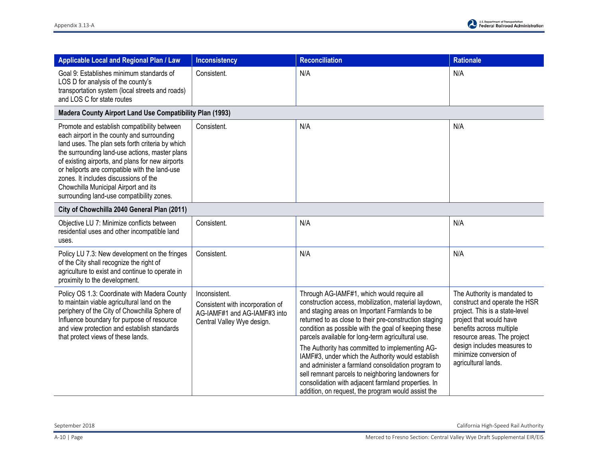| Applicable Local and Regional Plan / Law                                                                                                                                                                                                                                                                                                                                                                                           | <b>Inconsistency</b>                                                                                            | <b>Reconciliation</b>                                                                                                                                                                                                                                                                                                                                                                                                                                                                                                                                                                                                                                        | <b>Rationale</b>                                                                                                                                                                                                                                                      |
|------------------------------------------------------------------------------------------------------------------------------------------------------------------------------------------------------------------------------------------------------------------------------------------------------------------------------------------------------------------------------------------------------------------------------------|-----------------------------------------------------------------------------------------------------------------|--------------------------------------------------------------------------------------------------------------------------------------------------------------------------------------------------------------------------------------------------------------------------------------------------------------------------------------------------------------------------------------------------------------------------------------------------------------------------------------------------------------------------------------------------------------------------------------------------------------------------------------------------------------|-----------------------------------------------------------------------------------------------------------------------------------------------------------------------------------------------------------------------------------------------------------------------|
| Goal 9: Establishes minimum standards of<br>LOS D for analysis of the county's<br>transportation system (local streets and roads)<br>and LOS C for state routes                                                                                                                                                                                                                                                                    | Consistent.                                                                                                     | N/A                                                                                                                                                                                                                                                                                                                                                                                                                                                                                                                                                                                                                                                          | N/A                                                                                                                                                                                                                                                                   |
| Madera County Airport Land Use Compatibility Plan (1993)                                                                                                                                                                                                                                                                                                                                                                           |                                                                                                                 |                                                                                                                                                                                                                                                                                                                                                                                                                                                                                                                                                                                                                                                              |                                                                                                                                                                                                                                                                       |
| Promote and establish compatibility between<br>each airport in the county and surrounding<br>land uses. The plan sets forth criteria by which<br>the surrounding land-use actions, master plans<br>of existing airports, and plans for new airports<br>or heliports are compatible with the land-use<br>zones. It includes discussions of the<br>Chowchilla Municipal Airport and its<br>surrounding land-use compatibility zones. | Consistent.                                                                                                     | N/A                                                                                                                                                                                                                                                                                                                                                                                                                                                                                                                                                                                                                                                          | N/A                                                                                                                                                                                                                                                                   |
| City of Chowchilla 2040 General Plan (2011)                                                                                                                                                                                                                                                                                                                                                                                        |                                                                                                                 |                                                                                                                                                                                                                                                                                                                                                                                                                                                                                                                                                                                                                                                              |                                                                                                                                                                                                                                                                       |
| Objective LU 7: Minimize conflicts between<br>residential uses and other incompatible land<br>uses.                                                                                                                                                                                                                                                                                                                                | Consistent.                                                                                                     | N/A                                                                                                                                                                                                                                                                                                                                                                                                                                                                                                                                                                                                                                                          | N/A                                                                                                                                                                                                                                                                   |
| Policy LU 7.3: New development on the fringes<br>of the City shall recognize the right of<br>agriculture to exist and continue to operate in<br>proximity to the development.                                                                                                                                                                                                                                                      | Consistent.                                                                                                     | N/A                                                                                                                                                                                                                                                                                                                                                                                                                                                                                                                                                                                                                                                          | N/A                                                                                                                                                                                                                                                                   |
| Policy OS 1.3: Coordinate with Madera County<br>to maintain viable agricultural land on the<br>periphery of the City of Chowchilla Sphere of<br>Influence boundary for purpose of resource<br>and view protection and establish standards<br>that protect views of these lands.                                                                                                                                                    | Inconsistent.<br>Consistent with incorporation of<br>AG-IAMF#1 and AG-IAMF#3 into<br>Central Valley Wye design. | Through AG-IAMF#1, which would require all<br>construction access, mobilization, material laydown,<br>and staging areas on Important Farmlands to be<br>returned to as close to their pre-construction staging<br>condition as possible with the goal of keeping these<br>parcels available for long-term agricultural use.<br>The Authority has committed to implementing AG-<br>IAMF#3, under which the Authority would establish<br>and administer a farmland consolidation program to<br>sell remnant parcels to neighboring landowners for<br>consolidation with adjacent farmland properties. In<br>addition, on request, the program would assist the | The Authority is mandated to<br>construct and operate the HSR<br>project. This is a state-level<br>project that would have<br>benefits across multiple<br>resource areas. The project<br>design includes measures to<br>minimize conversion of<br>agricultural lands. |

September 2018 California High-Speed Rail Authority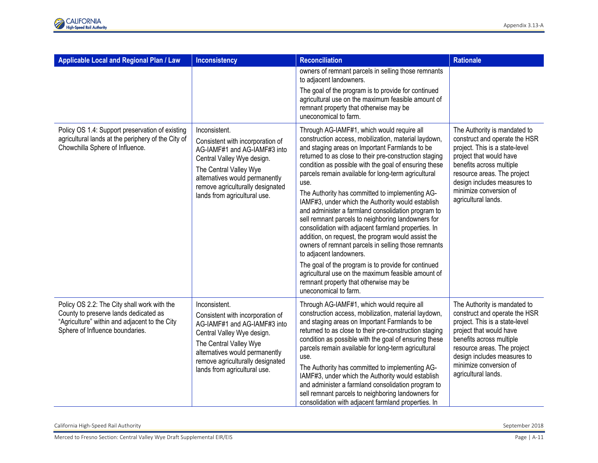| Applicable Local and Regional Plan / Law                                                                                                                                 | <b>Inconsistency</b>                                                                                                                                                                                                                            | <b>Reconciliation</b>                                                                                                                                                                                                                                                                                                                                                                                                                                                                                                                                                                                                                                                                                                                                                                                                                                                                                                                     | <b>Rationale</b>                                                                                                                                                                                                                                                      |
|--------------------------------------------------------------------------------------------------------------------------------------------------------------------------|-------------------------------------------------------------------------------------------------------------------------------------------------------------------------------------------------------------------------------------------------|-------------------------------------------------------------------------------------------------------------------------------------------------------------------------------------------------------------------------------------------------------------------------------------------------------------------------------------------------------------------------------------------------------------------------------------------------------------------------------------------------------------------------------------------------------------------------------------------------------------------------------------------------------------------------------------------------------------------------------------------------------------------------------------------------------------------------------------------------------------------------------------------------------------------------------------------|-----------------------------------------------------------------------------------------------------------------------------------------------------------------------------------------------------------------------------------------------------------------------|
|                                                                                                                                                                          |                                                                                                                                                                                                                                                 | owners of remnant parcels in selling those remnants<br>to adjacent landowners.                                                                                                                                                                                                                                                                                                                                                                                                                                                                                                                                                                                                                                                                                                                                                                                                                                                            |                                                                                                                                                                                                                                                                       |
|                                                                                                                                                                          |                                                                                                                                                                                                                                                 | The goal of the program is to provide for continued<br>agricultural use on the maximum feasible amount of<br>remnant property that otherwise may be<br>uneconomical to farm.                                                                                                                                                                                                                                                                                                                                                                                                                                                                                                                                                                                                                                                                                                                                                              |                                                                                                                                                                                                                                                                       |
| Policy OS 1.4: Support preservation of existing<br>agricultural lands at the periphery of the City of<br>Chowchilla Sphere of Influence.                                 | Inconsistent.<br>Consistent with incorporation of<br>AG-IAMF#1 and AG-IAMF#3 into<br>Central Valley Wye design.<br>The Central Valley Wye<br>alternatives would permanently<br>remove agriculturally designated<br>lands from agricultural use. | Through AG-IAMF#1, which would require all<br>construction access, mobilization, material laydown,<br>and staging areas on Important Farmlands to be<br>returned to as close to their pre-construction staging<br>condition as possible with the goal of ensuring these<br>parcels remain available for long-term agricultural<br>use.<br>The Authority has committed to implementing AG-<br>IAMF#3, under which the Authority would establish<br>and administer a farmland consolidation program to<br>sell remnant parcels to neighboring landowners for<br>consolidation with adjacent farmland properties. In<br>addition, on request, the program would assist the<br>owners of remnant parcels in selling those remnants<br>to adjacent landowners.<br>The goal of the program is to provide for continued<br>agricultural use on the maximum feasible amount of<br>remnant property that otherwise may be<br>uneconomical to farm. | The Authority is mandated to<br>construct and operate the HSR<br>project. This is a state-level<br>project that would have<br>benefits across multiple<br>resource areas. The project<br>design includes measures to<br>minimize conversion of<br>agricultural lands. |
| Policy OS 2.2: The City shall work with the<br>County to preserve lands dedicated as<br>"Agriculture" within and adjacent to the City<br>Sphere of Influence boundaries. | Inconsistent.<br>Consistent with incorporation of<br>AG-IAMF#1 and AG-IAMF#3 into<br>Central Valley Wye design.<br>The Central Valley Wye<br>alternatives would permanently<br>remove agriculturally designated<br>lands from agricultural use. | Through AG-IAMF#1, which would require all<br>construction access, mobilization, material laydown,<br>and staging areas on Important Farmlands to be<br>returned to as close to their pre-construction staging<br>condition as possible with the goal of ensuring these<br>parcels remain available for long-term agricultural<br>use.<br>The Authority has committed to implementing AG-<br>IAMF#3, under which the Authority would establish<br>and administer a farmland consolidation program to<br>sell remnant parcels to neighboring landowners for<br>consolidation with adjacent farmland properties. In                                                                                                                                                                                                                                                                                                                         | The Authority is mandated to<br>construct and operate the HSR<br>project. This is a state-level<br>project that would have<br>benefits across multiple<br>resource areas. The project<br>design includes measures to<br>minimize conversion of<br>agricultural lands. |

California High-Speed Rail Authority September 2018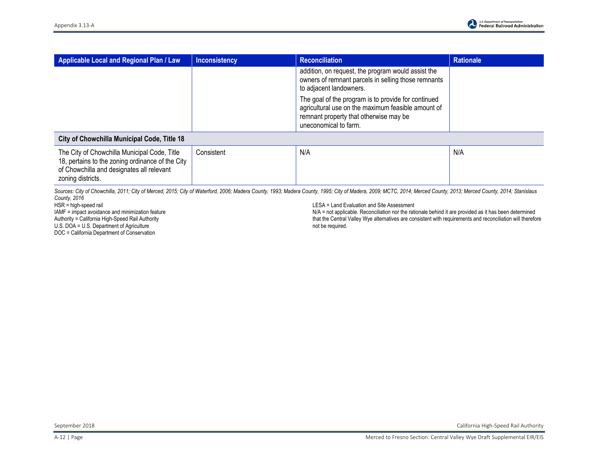| Applicable Local and Regional Plan / Law                                                                                                                           | <b>Inconsistency</b> | <b>Reconciliation</b>                                                                                                                                                        | <b>Rationale</b> |
|--------------------------------------------------------------------------------------------------------------------------------------------------------------------|----------------------|------------------------------------------------------------------------------------------------------------------------------------------------------------------------------|------------------|
|                                                                                                                                                                    |                      | addition, on request, the program would assist the<br>owners of remnant parcels in selling those remnants<br>to adjacent landowners.                                         |                  |
|                                                                                                                                                                    |                      | The goal of the program is to provide for continued<br>agricultural use on the maximum feasible amount of<br>remnant property that otherwise may be<br>uneconomical to farm. |                  |
| City of Chowchilla Municipal Code, Title 18                                                                                                                        |                      |                                                                                                                                                                              |                  |
| The City of Chowchilla Municipal Code, Title<br>18, pertains to the zoning ordinance of the City<br>of Chowchilla and designates all relevant<br>zoning districts. | Consistent           | N/A                                                                                                                                                                          | N/A              |

Sources: City of Chowchilla, 2011; City of Merced, 2015; City of Waterford, 2006; Madera County, 1993; Madera County, 1995; City of Madera, 2009; MCTC, 2014; Merced County, 2013; Merced County, 2014; Stanislaus *County, 2016*

HSR = high-speed rail

IAMF = impact avoidance and minimization feature Authority = California High-Speed Rail Authority U.S. DOA = U.S. Department of Agriculture

DOC = California Department of Conservation

LESA = Land Evaluation and Site Assessment

N/A = not applicable. Reconciliation nor the rationale behind it are provided as it has been determined that the Central Valley Wye alternatives are consistent with requirements and reconciliation will therefore not be required.